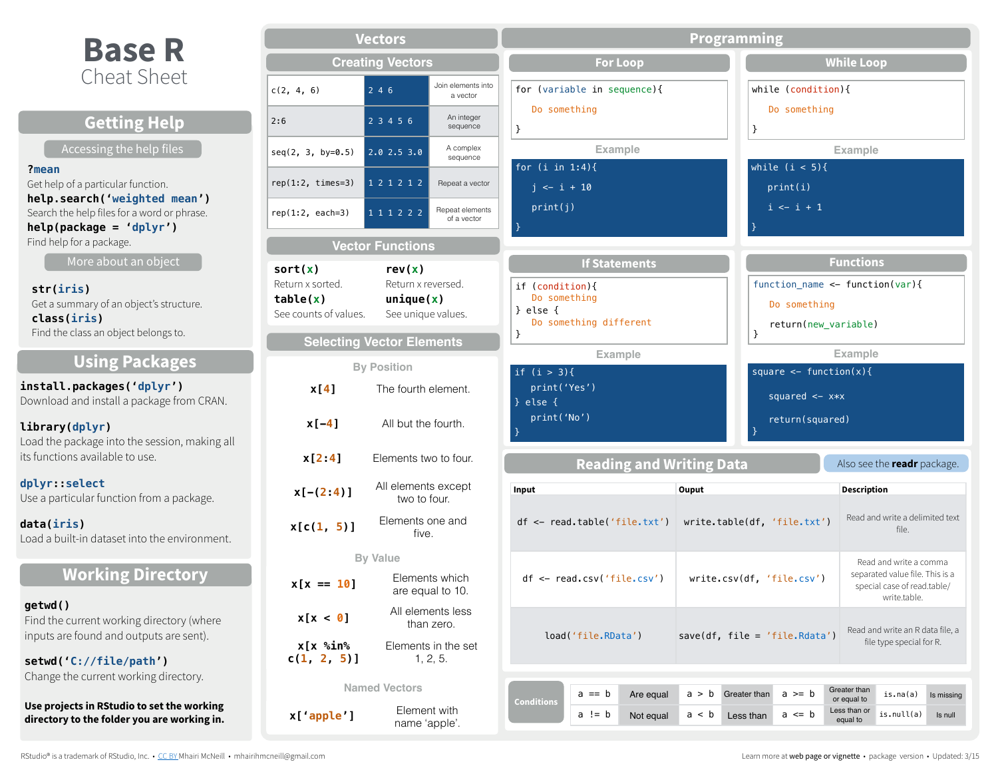# **Base R**

| DUJE IN                                                                                                  |                                                       | <b>Creating Vectors</b>                   |                                    |                                                           |                                      | <b>For Loop</b>                        |       |              |                                                        | <b>While Loop</b>                       |                                                                |                       |
|----------------------------------------------------------------------------------------------------------|-------------------------------------------------------|-------------------------------------------|------------------------------------|-----------------------------------------------------------|--------------------------------------|----------------------------------------|-------|--------------|--------------------------------------------------------|-----------------------------------------|----------------------------------------------------------------|-----------------------|
| <b>Cheat Sheet</b>                                                                                       | c(2, 4, 6)                                            | 2 4 6                                     | Join elements into<br>a vector     | for (variable in sequence){                               |                                      |                                        |       |              | while $(condition)$ {                                  |                                         |                                                                |                       |
| <b>Getting Help</b>                                                                                      | 2:6                                                   | 2 3 4 5 6                                 | An integer<br>sequence             | Do something                                              |                                      |                                        |       |              | Do something                                           |                                         |                                                                |                       |
| Accessing the help files                                                                                 | $seq(2, 3, by=0.5)$                                   | 2.02.53.0                                 | A complex                          |                                                           | <b>Example</b>                       |                                        |       |              |                                                        | <b>Example</b>                          |                                                                |                       |
| $?$ mean                                                                                                 |                                                       |                                           | sequence                           | for $(i \text{ in } 1:4)$ {                               |                                      |                                        |       |              | while $(i < 5)$ {                                      |                                         |                                                                |                       |
| Get help of a particular function.                                                                       | rep(1:2, times=3) $\boxed{1\ 2\ 1\ 2\ 1\ 2}$          |                                           | Repeat a vector                    | $j \leftarrow i + 10$                                     |                                      |                                        |       |              | print(i)                                               |                                         |                                                                |                       |
| help.search('weighted mean')<br>Search the help files for a word or phrase.<br>$help(package = 'dplyr')$ | $rep(1:2, each=3)$                                    | 111222                                    | Repeat elements<br>of a vector     | print(j)                                                  |                                      |                                        |       |              | $i \leftarrow i + 1$                                   |                                         |                                                                |                       |
| Find help for a package.                                                                                 |                                                       | <b>Vector Functions</b>                   |                                    |                                                           |                                      |                                        |       |              |                                                        |                                         |                                                                |                       |
| More about an object                                                                                     | sort(x)                                               | rev(x)                                    |                                    |                                                           |                                      | <b>If Statements</b>                   |       |              |                                                        | <b>Functions</b>                        |                                                                |                       |
| str(iris)<br>Get a summary of an object's structure.<br>class(iris)                                      | Return x sorted.<br>table(x)<br>See counts of values. | Return x reversed.<br>unique(x)           | See unique values.                 | if (condition){<br>Do something<br>else {                 |                                      |                                        |       |              | function_name <- function(var){<br>Do something        |                                         |                                                                |                       |
| Find the class an object belongs to.                                                                     |                                                       | <b>Selecting Vector Elements</b>          |                                    |                                                           | Do something different               |                                        |       |              | return(new_variable)                                   |                                         |                                                                |                       |
| <b>Using Packages</b>                                                                                    |                                                       |                                           |                                    |                                                           | <b>Example</b>                       |                                        |       |              |                                                        | <b>Example</b>                          |                                                                |                       |
| install.packages('dplyr')<br>Download and install a package from CRAN.                                   | x[4]                                                  | <b>By Position</b><br>The fourth element. |                                    | if $(i > 3)$ {<br>print('Yes')<br>else {<br>$\rightarrow$ |                                      |                                        |       |              | square $\leq$ function(x){<br>squared $\leftarrow$ x*x |                                         |                                                                |                       |
| library(dplyr)<br>Load the package into the session, making all                                          | $x[-4]$                                               | All but the fourth.                       |                                    | print('No')                                               |                                      |                                        |       |              | return(squared)                                        |                                         |                                                                |                       |
| its functions available to use.                                                                          | x[2:4]                                                | Elements two to four.                     |                                    |                                                           |                                      | <b>Reading and Writing Data</b>        |       |              |                                                        |                                         | Also see the readr package.                                    |                       |
| dplyr::select<br>Use a particular function from a package.                                               | $x[-(2:4)]$                                           | All elements except<br>two to four.       |                                    | Input                                                     |                                      |                                        | Ouput |              |                                                        | <b>Description</b>                      |                                                                |                       |
| data(iris)<br>Load a built-in dataset into the environment.                                              | x[c(1, 5)]                                            | Elements one and<br>five.                 |                                    |                                                           |                                      | $df \leftarrow read.title('file.txt')$ |       |              | write.table(df, 'file.txt')                            |                                         | Read and write a delimited text<br>file.                       |                       |
|                                                                                                          |                                                       | <b>By Value</b>                           |                                    |                                                           |                                      |                                        |       |              |                                                        |                                         | Read and write a comma                                         |                       |
| <b>Working Directory</b>                                                                                 | $x[x == 10]$                                          |                                           | Elements which<br>are equal to 10. |                                                           | $df \leftarrow read.csv('file.csv')$ |                                        |       |              | write.csv(df, 'file.csv')                              |                                         | separated value file. This is a<br>special case of read.table/ |                       |
| getwd()                                                                                                  | x[x < 0]                                              |                                           | All elements less                  |                                                           |                                      |                                        |       |              |                                                        |                                         | write.table.                                                   |                       |
| Find the current working directory (where<br>inputs are found and outputs are sent).                     | $x[x \,$ %in%                                         |                                           | than zero.<br>Elements in the set  |                                                           | load('file.RData')                   |                                        |       |              | save(df, file = 'file.Rdata')                          |                                         | Read and write an R data file, a<br>file type special for R.   |                       |
| setwd('C://file/path')                                                                                   | $c(1, 2, 5)$ ]                                        |                                           | 1, 2, 5.                           |                                                           |                                      |                                        |       |              |                                                        |                                         |                                                                |                       |
| Change the current working directory.                                                                    |                                                       | <b>Named Vectors</b>                      |                                    |                                                           | $a == b$                             |                                        | a > b | Greater than | $a \geq b$                                             | Greater than                            | is.na(a)                                                       |                       |
| Use projects in RStudio to set the working<br>directory to the folder you are working in.                | x['apple']                                            |                                           | Element with<br>name 'annle'       | <b>Conditions</b>                                         | $a := b$                             | Are equal<br>Not equal                 | a < b | Less than    | $a \leq b$                                             | or equal to<br>Less than or<br>equal to | is.null(a)                                                     | Is missing<br>Is null |

name 'apple'.

**Vectors**

**Programming**